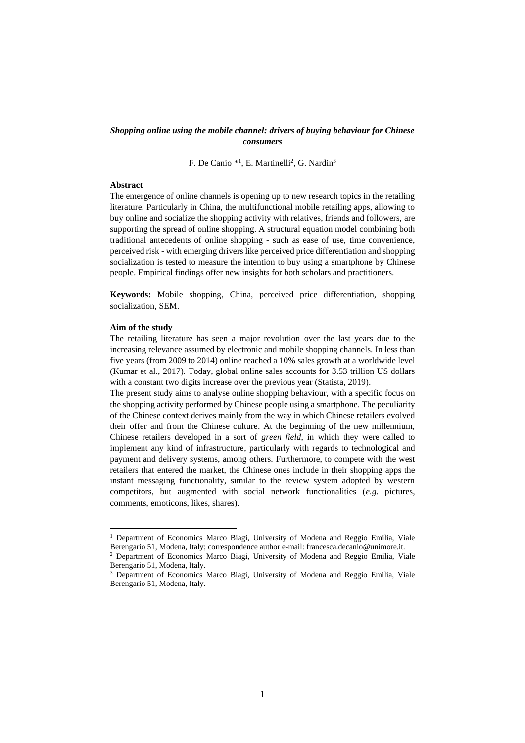# *Shopping online using the mobile channel: drivers of buying behaviour for Chinese consumers*

F. De Canio \*<sup>1</sup>, E. Martinelli<sup>2</sup>, G. Nardin<sup>3</sup>

## **Abstract**

The emergence of online channels is opening up to new research topics in the retailing literature. Particularly in China, the multifunctional mobile retailing apps, allowing to buy online and socialize the shopping activity with relatives, friends and followers, are supporting the spread of online shopping. A structural equation model combining both traditional antecedents of online shopping - such as ease of use, time convenience, perceived risk - with emerging drivers like perceived price differentiation and shopping socialization is tested to measure the intention to buy using a smartphone by Chinese people. Empirical findings offer new insights for both scholars and practitioners.

**Keywords:** Mobile shopping, China, perceived price differentiation, shopping socialization, SEM.

## **Aim of the study**

The retailing literature has seen a major revolution over the last years due to the increasing relevance assumed by electronic and mobile shopping channels. In less than five years (from 2009 to 2014) online reached a 10% sales growth at a worldwide level (Kumar et al., 2017). Today, global online sales accounts for 3.53 trillion US dollars with a constant two digits increase over the previous year (Statista, 2019).

The present study aims to analyse online shopping behaviour, with a specific focus on the shopping activity performed by Chinese people using a smartphone. The peculiarity of the Chinese context derives mainly from the way in which Chinese retailers evolved their offer and from the Chinese culture. At the beginning of the new millennium, Chinese retailers developed in a sort of *green field*, in which they were called to implement any kind of infrastructure, particularly with regards to technological and payment and delivery systems, among others. Furthermore, to compete with the west retailers that entered the market, the Chinese ones include in their shopping apps the instant messaging functionality, similar to the review system adopted by western competitors, but augmented with social network functionalities (*e.g.* pictures, comments, emoticons, likes, shares).

<sup>1</sup> Department of Economics Marco Biagi, University of Modena and Reggio Emilia, Viale Berengario 51, Modena, Italy; correspondence author e-mail: francesca.decanio@unimore.it.

<sup>2</sup> Department of Economics Marco Biagi, University of Modena and Reggio Emilia, Viale Berengario 51, Modena, Italy.

<sup>&</sup>lt;sup>3</sup> Department of Economics Marco Biagi, University of Modena and Reggio Emilia, Viale Berengario 51, Modena, Italy.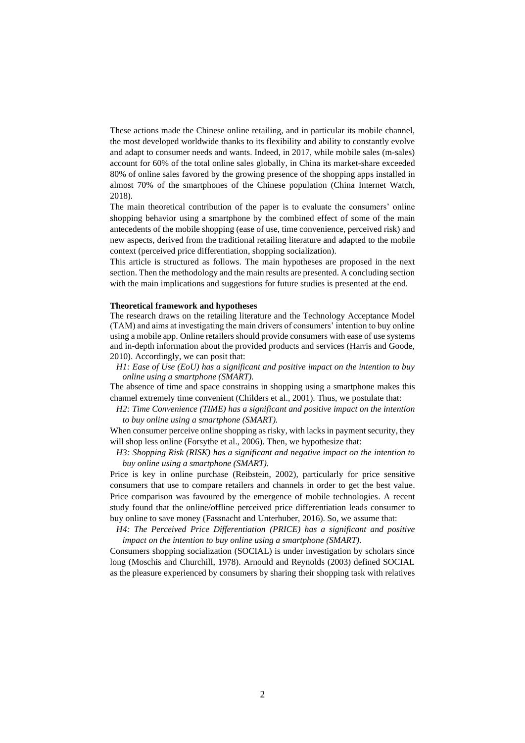These actions made the Chinese online retailing, and in particular its mobile channel, the most developed worldwide thanks to its flexibility and ability to constantly evolve and adapt to consumer needs and wants. Indeed, in 2017, while mobile sales (m-sales) account for 60% of the total online sales globally, in China its market-share exceeded 80% of online sales favored by the growing presence of the shopping apps installed in almost 70% of the smartphones of the Chinese population (China Internet Watch, 2018).

The main theoretical contribution of the paper is to evaluate the consumers' online shopping behavior using a smartphone by the combined effect of some of the main antecedents of the mobile shopping (ease of use, time convenience, perceived risk) and new aspects, derived from the traditional retailing literature and adapted to the mobile context (perceived price differentiation, shopping socialization).

This article is structured as follows. The main hypotheses are proposed in the next section. Then the methodology and the main results are presented. A concluding section with the main implications and suggestions for future studies is presented at the end.

## **Theoretical framework and hypotheses**

The research draws on the retailing literature and the Technology Acceptance Model (TAM) and aims at investigating the main drivers of consumers' intention to buy online using a mobile app. Online retailers should provide consumers with ease of use systems and in-depth information about the provided products and services (Harris and Goode, 2010). Accordingly, we can posit that:

*H1: Ease of Use (EoU) has a significant and positive impact on the intention to buy online using a smartphone (SMART).*

The absence of time and space constrains in shopping using a smartphone makes this channel extremely time convenient (Childers et al., 2001). Thus, we postulate that:

*H2: Time Convenience (TIME) has a significant and positive impact on the intention to buy online using a smartphone (SMART).*

When consumer perceive online shopping as risky, with lacks in payment security, they will shop less online (Forsythe et al., 2006). Then, we hypothesize that:

*H3: Shopping Risk (RISK) has a significant and negative impact on the intention to buy online using a smartphone (SMART).*

Price is key in online purchase (Reibstein, 2002), particularly for price sensitive consumers that use to compare retailers and channels in order to get the best value. Price comparison was favoured by the emergence of mobile technologies. A recent study found that the online/offline perceived price differentiation leads consumer to buy online to save money (Fassnacht and Unterhuber, 2016). So, we assume that:

*H4: The Perceived Price Differentiation (PRICE) has a significant and positive impact on the intention to buy online using a smartphone (SMART).*

Consumers shopping socialization (SOCIAL) is under investigation by scholars since long (Moschis and Churchill, 1978). Arnould and Reynolds (2003) defined SOCIAL as the pleasure experienced by consumers by sharing their shopping task with relatives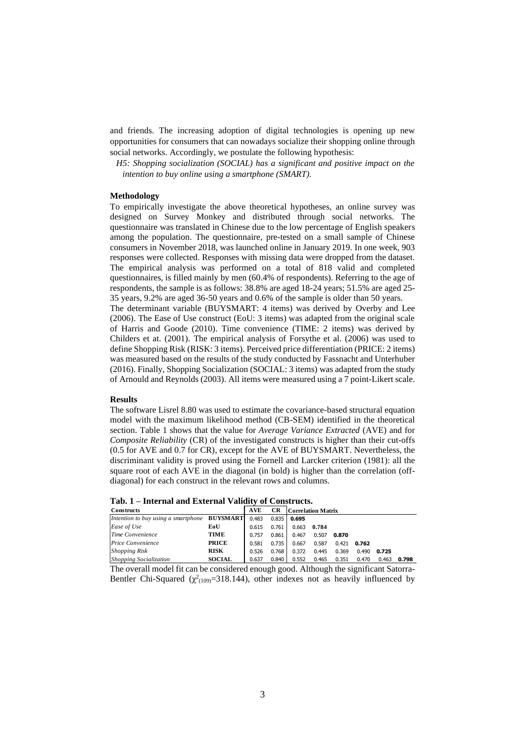and friends. The increasing adoption of digital technologies is opening up new opportunities for consumers that can nowadays socialize their shopping online through social networks. Accordingly, we postulate the following hypothesis:

*H5: Shopping socialization (SOCIAL) has a significant and positive impact on the intention to buy online using a smartphone (SMART).*

#### **Methodology**

To empirically investigate the above theoretical hypotheses, an online survey was designed on Survey Monkey and distributed through social networks. The questionnaire was translated in Chinese due to the low percentage of English speakers among the population. The questionnaire, pre-tested on a small sample of Chinese consumers in November 2018, was launched online in January 2019. In one week, 903 responses were collected. Responses with missing data were dropped from the dataset. The empirical analysis was performed on a total of 818 valid and completed questionnaires, is filled mainly by men (60.4% of respondents). Referring to the age of respondents, the sample is as follows: 38.8% are aged 18-24 years; 51.5% are aged 25- 35 years, 9.2% are aged 36-50 years and 0.6% of the sample is older than 50 years.

The determinant variable (BUYSMART: 4 items) was derived by Overby and Lee (2006). The Ease of Use construct (EoU: 3 items) was adapted from the original scale of Harris and Goode (2010). Time convenience (TIME: 2 items) was derived by Childers et at. (2001). The empirical analysis of Forsythe et al. (2006) was used to define Shopping Risk (RISK: 3 items). Perceived price differentiation (PRICE: 2 items) was measured based on the results of the study conducted by Fassnacht and Unterhuber (2016). Finally, Shopping Socialization (SOCIAL: 3 items) was adapted from the study of Arnould and Reynolds (2003). All items were measured using a 7 point-Likert scale.

## **Results**

The software Lisrel 8.80 was used to estimate the covariance-based structural equation model with the maximum likelihood method (CB-SEM) identified in the theoretical section. Table 1 shows that the value for *Average Variance Extracted* (AVE) and for *Composite Reliability* (CR) of the investigated constructs is higher than their cut-offs (0.5 for AVE and 0.7 for CR), except for the AVE of BUYSMART. Nevertheless, the discriminant validity is proved using the Fornell and Larcker criterion (1981): all the square root of each AVE in the diagonal (in bold) is higher than the correlation (offdiagonal) for each construct in the relevant rows and columns.

|  |  |  |  |  | Tab. 1 – Internal and External Validity of Constructs. |
|--|--|--|--|--|--------------------------------------------------------|
|--|--|--|--|--|--------------------------------------------------------|

| <b>Constructs</b>                                   |               |       | CR    | <b>Correlation Matrix</b> |       |       |       |       |       |
|-----------------------------------------------------|---------------|-------|-------|---------------------------|-------|-------|-------|-------|-------|
| Intention to buy using a smartphone <b>BUYSMART</b> |               | 0.483 |       | $0.835$ 0.695             |       |       |       |       |       |
| Ease of Use                                         | EoU           | 0.615 | 0.761 | 0.663                     | 0.784 |       |       |       |       |
| Time Convenience                                    | TIME          | 0.757 | 0.861 | 0.467                     | 0.507 | 0.870 |       |       |       |
| Price Convenience                                   | <b>PRICE</b>  | 0.581 | 0.735 | 0.667                     | 0.587 | 0.421 | 0.762 |       |       |
| <b>Shopping Risk</b>                                | <b>RISK</b>   | 0.526 | 0.768 | 0.372                     | 0.445 | 0.369 | 0.490 | 0.725 |       |
| <b>Shopping Socialization</b>                       | <b>SOCIAL</b> | 0.637 | 0.840 | 0.552                     | 0.465 | 0.351 | 0.470 | 0.463 | 0.798 |

The overall model fit can be considered enough good. Although the significant Satorra-Bentler Chi-Squared ( $\chi^2$ <sub>(109)</sub>=318.144), other indexes not as heavily influenced by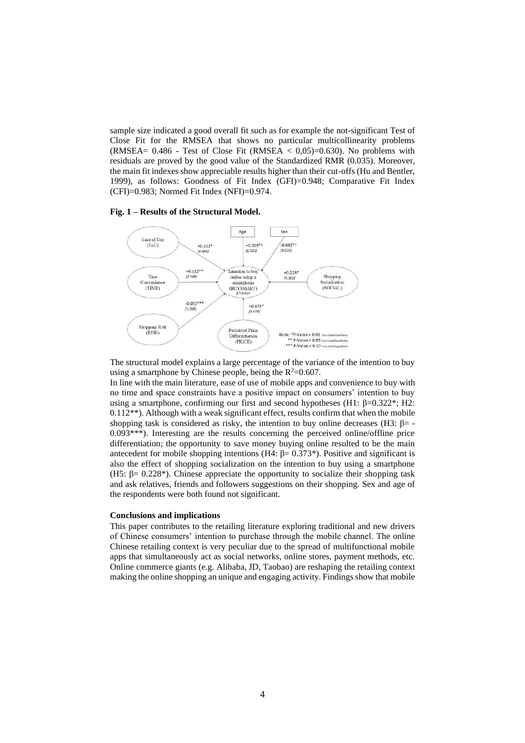sample size indicated a good overall fit such as for example the not-significant Test of Close Fit for the RMSEA that shows no particular multicollinearity problems  $(RMSEA = 0.486 - Test$  of Close Fit  $(RMSEA < 0.05)=0.630$ . No problems with residuals are proved by the good value of the Standardized RMR (0.035). Moreover, the main fit indexes show appreciable results higher than their cut-offs (Hu and Bentler, 1999), as follows: Goodness of Fit Index (GFI)=0.948; Comparative Fit Index (CFI)=0.983; Normed Fit Index (NFI)=0.974.

## **Fig. 1 – Results of the Structural Model.**



The structural model explains a large percentage of the variance of the intention to buy using a smartphone by Chinese people, being the  $R^2=0.607$ .

In line with the main literature, ease of use of mobile apps and convenience to buy with no time and space constraints have a positive impact on consumers' intention to buy using a smartphone, confirming our first and second hypotheses (H1:  $β=0.322*$ ; H2:  $0.112**$ ). Although with a weak significant effect, results confirm that when the mobile shopping task is considered as risky, the intention to buy online decreases (H3:  $\beta$ = -0.093\*\*\*). Interesting are the results concerning the perceived online/offline price differentiation; the opportunity to save money buying online resulted to be the main antecedent for mobile shopping intentions (H4:  $\beta$ = 0.373<sup>\*</sup>). Positive and significant is also the effect of shopping socialization on the intention to buy using a smartphone (H5:  $\beta$  = 0.228<sup>\*</sup>). Chinese appreciate the opportunity to socialize their shopping task and ask relatives, friends and followers suggestions on their shopping. Sex and age of the respondents were both found not significant.

#### **Conclusions and implications**

This paper contributes to the retailing literature exploring traditional and new drivers of Chinese consumers' intention to purchase through the mobile channel. The online Chinese retailing context is very peculiar due to the spread of multifunctional mobile apps that simultaneously act as social networks, online stores, payment methods, etc. Online commerce giants (e.g. Alibaba, JD, Taobao) are reshaping the retailing context making the online shopping an unique and engaging activity. Findings show that mobile